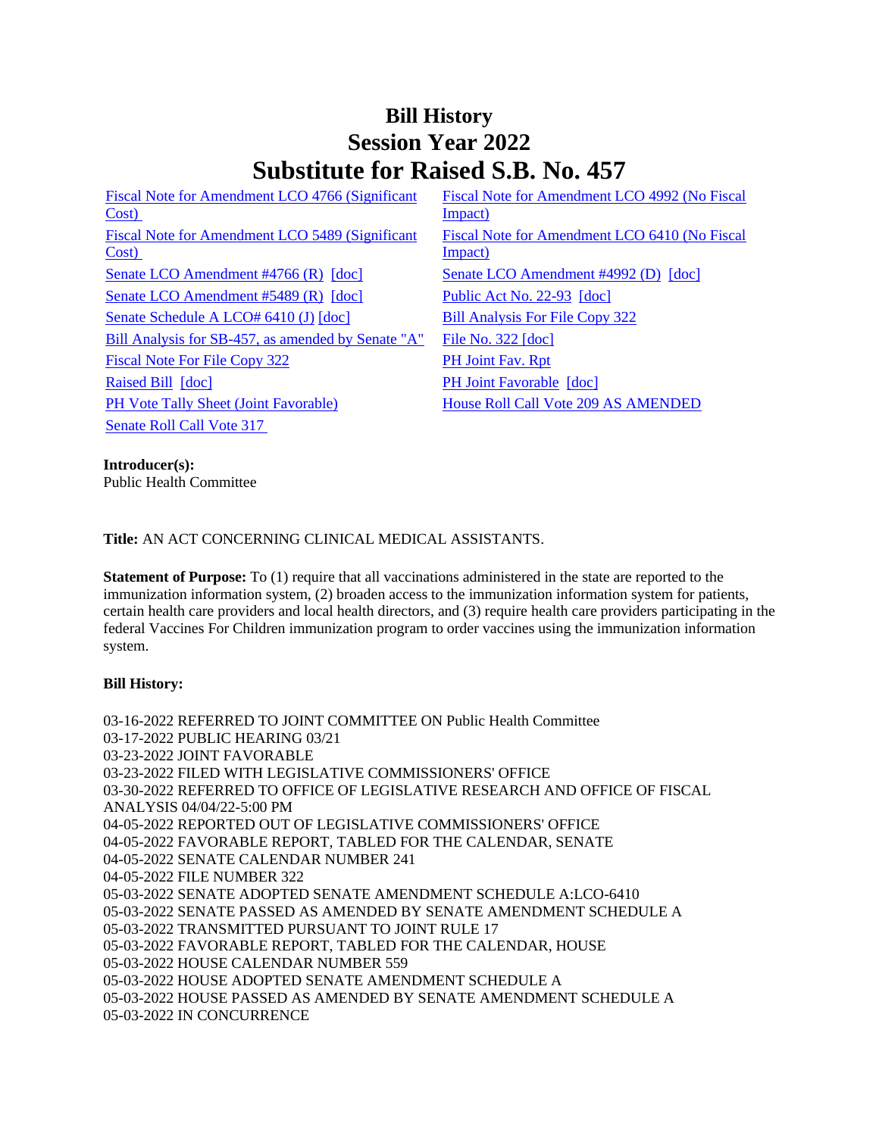## **Bill History Session Year 2022 Substitute for Raised S.B. No. 457**

[Fiscal Note for Amendment LCO 4766 \(Significant](/2022/fna/pdf/2022SB-00457-R00LCO04766-FNA.PDF)  [Cost\)](/2022/fna/pdf/2022SB-00457-R00LCO04766-FNA.PDF)  [Fiscal Note for Amendment LCO 5489 \(Significant](/2022/fna/pdf/2022SB-00457-R00LCO05489-FNA.PDF)  [Cost\)](/2022/fna/pdf/2022SB-00457-R00LCO05489-FNA.PDF)  [Senate LCO Amendment #4766 \(R\)](/2022/lcoamd/pdf/2022LCO04766-R00-AMD.pdf) [\[doc\]](https://search.cga.state.ct.us/dl2022/aml/doc/2022LCO04992-R00-AMD.DOCX) [Senate LCO Amendment #4992 \(D\)](/2022/lcoamd/pdf/2022LCO04992-R00-AMD.pdf) [doc] [Senate LCO Amendment #5489 \(R\)](/2022/lcoamd/pdf/2022LCO05489-R00-AMD.pdf) [\[doc\]](https://search.cga.state.ct.us/dl2022/PA/DOC/2022PA-00093-R00SB-00457-PA.DOCX) [Public Act No. 22-93](/2022/ACT/PA/PDF/2022PA-00093-R00SB-00457-PA.PDF) [doc] [Senate Schedule A LCO# 6410 \(J\)](/2022/amd/S/pdf/2022SB-00457-R00SA-AMD.pdf) [\[doc\]](https://search.cga.state.ct.us/dl2022/AMd/DOC/2022SB-00457-R00SA-AMD.Docx) [Bill Analysis For File Copy 322](/2022/BA/PDF/2022SB-00457-R000322-BA.PDF) [Bill Analysis for SB-457, as amended by Senate "A"](/2022/BA/PDF/2022SB-00457-R01-BA.PDF) [File No. 322](/2022/FC/PDF/2022SB-00457-R000322-FC.PDF) [\[doc\]](https://search.cga.state.ct.us/dl2022/fc/doc/2022SB-00457-R000322-FC.docx) [Fiscal Note For File Copy 322](/2022/FN/PDF/2022SB-00457-R000322-FN.PDF) [PH Joint Fav. Rpt](/2022/JFR/S/PDF/2022SB-00457-R00PH-JFR.PDF) [Raised Bill](/2022/TOB/S/PDF/2022SB-00457-R00-SB.PDF) [\[doc\]](https://search.cga.state.ct.us/dl2022/TOB/DOC/2022SB-00457-R01-SB.DOCX) [PH Joint Favorable](/2022/TOB/S/PDF/2022SB-00457-R01-SB.PDF) [doc] [PH Vote Tally Sheet \(Joint Favorable\)](/2022/TS/S/PDF/2022SB-00457-R00PH-CV96-TS.PDF) House Roll Call Vote 209 AS AMENDED [Senate Roll Call Vote 317](/2022/VOTE/S/PDF/2022SV-00317-R00SB00457-SV.PDF) 

[Fiscal Note for Amendment LCO 4992 \(No Fiscal](/2022/fna/pdf/2022SB-00457-R00LCO04992-FNA.pdf)  [Impact\)](/2022/fna/pdf/2022SB-00457-R00LCO04992-FNA.pdf)  [Fiscal Note for Amendment LCO 6410 \(No Fiscal](/2022/fna/pdf/2022SB-00457-R00LCO06410-FNA.pdf)  [Impact\)](/2022/fna/pdf/2022SB-00457-R00LCO06410-FNA.pdf) 

**Introducer(s):**

Public Health Committee

**Title:** AN ACT CONCERNING CLINICAL MEDICAL ASSISTANTS.

**Statement of Purpose:** To (1) require that all vaccinations administered in the state are reported to the immunization information system, (2) broaden access to the immunization information system for patients, certain health care providers and local health directors, and (3) require health care providers participating in the federal Vaccines For Children immunization program to order vaccines using the immunization information system.

## **Bill History:**

03-16-2022 REFERRED TO JOINT COMMITTEE ON Public Health Committee 03-17-2022 PUBLIC HEARING 03/21 03-23-2022 JOINT FAVORABLE 03-23-2022 FILED WITH LEGISLATIVE COMMISSIONERS' OFFICE 03-30-2022 REFERRED TO OFFICE OF LEGISLATIVE RESEARCH AND OFFICE OF FISCAL ANALYSIS 04/04/22-5:00 PM 04-05-2022 REPORTED OUT OF LEGISLATIVE COMMISSIONERS' OFFICE 04-05-2022 FAVORABLE REPORT, TABLED FOR THE CALENDAR, SENATE 04-05-2022 SENATE CALENDAR NUMBER 241 04-05-2022 FILE NUMBER 322 05-03-2022 SENATE ADOPTED SENATE AMENDMENT SCHEDULE A:LCO-6410 05-03-2022 SENATE PASSED AS AMENDED BY SENATE AMENDMENT SCHEDULE A 05-03-2022 TRANSMITTED PURSUANT TO JOINT RULE 17 05-03-2022 FAVORABLE REPORT, TABLED FOR THE CALENDAR, HOUSE 05-03-2022 HOUSE CALENDAR NUMBER 559 05-03-2022 HOUSE ADOPTED SENATE AMENDMENT SCHEDULE A 05-03-2022 HOUSE PASSED AS AMENDED BY SENATE AMENDMENT SCHEDULE A 05-03-2022 IN CONCURRENCE